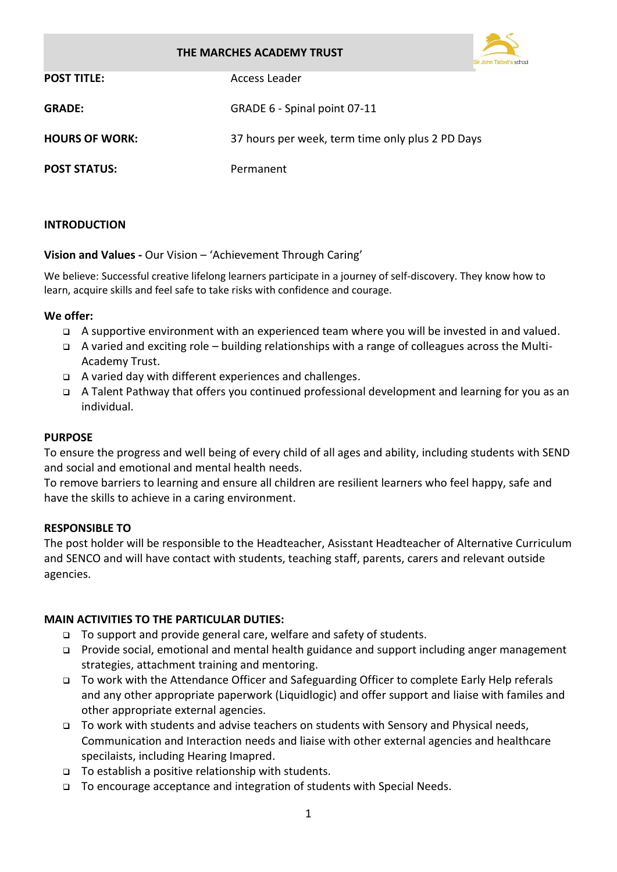### **THE MARCHES ACADEMY TRUST**



| <b>POST TITLE:</b>    | Access Leader                                    |
|-----------------------|--------------------------------------------------|
| <b>GRADE:</b>         | GRADE 6 - Spinal point 07-11                     |
| <b>HOURS OF WORK:</b> | 37 hours per week, term time only plus 2 PD Days |
| <b>POST STATUS:</b>   | Permanent                                        |

### **INTRODUCTION**

**Vision and Values -** Our Vision – 'Achievement Through Caring'

We believe: Successful creative lifelong learners participate in a journey of self-discovery. They know how to learn, acquire skills and feel safe to take risks with confidence and courage.

#### **We offer:**

- ❑ A supportive environment with an experienced team where you will be invested in and valued.
- ❑ A varied and exciting role building relationships with a range of colleagues across the Multi-Academy Trust.
- ❑ A varied day with different experiences and challenges.
- ❑ A Talent Pathway that offers you continued professional development and learning for you as an individual.

### **PURPOSE**

To ensure the progress and well being of every child of all ages and ability, including students with SEND and social and emotional and mental health needs.

To remove barriers to learning and ensure all children are resilient learners who feel happy, safe and have the skills to achieve in a caring environment.

### **RESPONSIBLE TO**

The post holder will be responsible to the Headteacher, Asisstant Headteacher of Alternative Curriculum and SENCO and will have contact with students, teaching staff, parents, carers and relevant outside agencies.

### **MAIN ACTIVITIES TO THE PARTICULAR DUTIES:**

- ❑ To support and provide general care, welfare and safety of students.
- ❑ Provide social, emotional and mental health guidance and support including anger management strategies, attachment training and mentoring.
- ❑ To work with the Attendance Officer and Safeguarding Officer to complete Early Help referals and any other appropriate paperwork (Liquidlogic) and offer support and liaise with familes and other appropriate external agencies.
- ❑ To work with students and advise teachers on students with Sensory and Physical needs, Communication and Interaction needs and liaise with other external agencies and healthcare specilaists, including Hearing Imapred.
- ❑ To establish a positive relationship with students.
- ❑ To encourage acceptance and integration of students with Special Needs.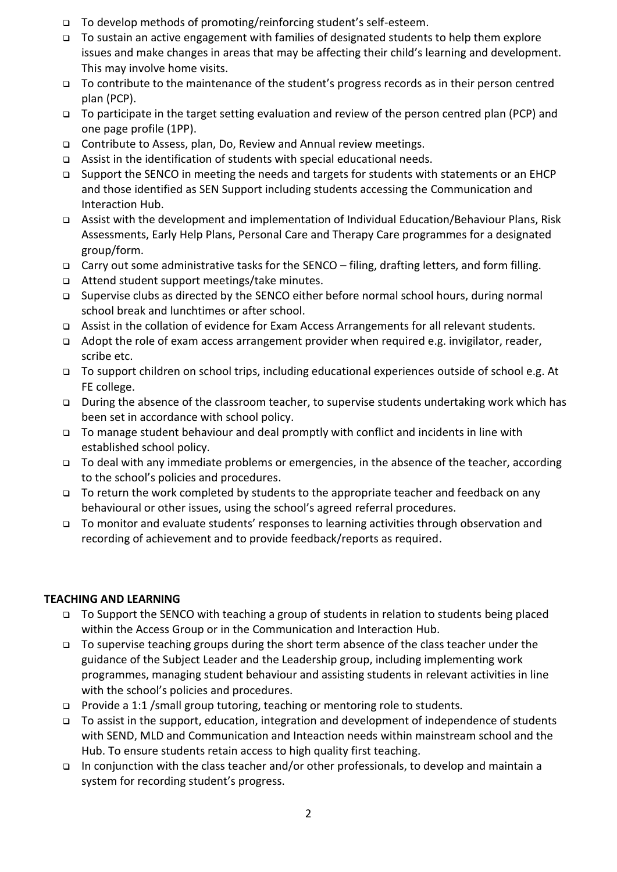- ❑ To develop methods of promoting/reinforcing student's self-esteem.
- ❑ To sustain an active engagement with families of designated students to help them explore issues and make changes in areas that may be affecting their child's learning and development. This may involve home visits.
- ❑ To contribute to the maintenance of the student's progress records as in their person centred plan (PCP).
- ❑ To participate in the target setting evaluation and review of the person centred plan (PCP) and one page profile (1PP).
- ❑ Contribute to Assess, plan, Do, Review and Annual review meetings.
- ❑ Assist in the identification of students with special educational needs.
- ❑ Support the SENCO in meeting the needs and targets for students with statements or an EHCP and those identified as SEN Support including students accessing the Communication and Interaction Hub.
- ❑ Assist with the development and implementation of Individual Education/Behaviour Plans, Risk Assessments, Early Help Plans, Personal Care and Therapy Care programmes for a designated group/form.
- ❑ Carry out some administrative tasks for the SENCO filing, drafting letters, and form filling.
- ❑ Attend student support meetings/take minutes.
- ❑ Supervise clubs as directed by the SENCO either before normal school hours, during normal school break and lunchtimes or after school.
- ❑ Assist in the collation of evidence for Exam Access Arrangements for all relevant students.
- ❑ Adopt the role of exam access arrangement provider when required e.g. invigilator, reader, scribe etc.
- ❑ To support children on school trips, including educational experiences outside of school e.g. At FE college.
- ❑ During the absence of the classroom teacher, to supervise students undertaking work which has been set in accordance with school policy.
- ❑ To manage student behaviour and deal promptly with conflict and incidents in line with established school policy.
- ❑ To deal with any immediate problems or emergencies, in the absence of the teacher, according to the school's policies and procedures.
- ❑ To return the work completed by students to the appropriate teacher and feedback on any behavioural or other issues, using the school's agreed referral procedures.
- ❑ To monitor and evaluate students' responses to learning activities through observation and recording of achievement and to provide feedback/reports as required.

## **TEACHING AND LEARNING**

- ❑ To Support the SENCO with teaching a group of students in relation to students being placed within the Access Group or in the Communication and Interaction Hub.
- ❑ To supervise teaching groups during the short term absence of the class teacher under the guidance of the Subject Leader and the Leadership group, including implementing work programmes, managing student behaviour and assisting students in relevant activities in line with the school's policies and procedures.
- ❑ Provide a 1:1 /small group tutoring, teaching or mentoring role to students.
- ❑ To assist in the support, education, integration and development of independence of students with SEND, MLD and Communication and Inteaction needs within mainstream school and the Hub. To ensure students retain access to high quality first teaching.
- ❑ In conjunction with the class teacher and/or other professionals, to develop and maintain a system for recording student's progress.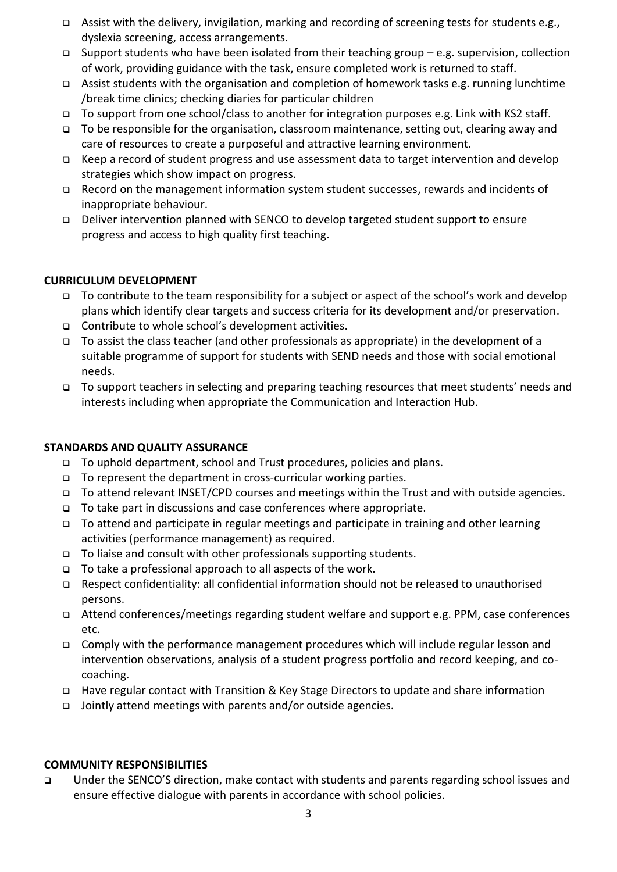- ❑ Assist with the delivery, invigilation, marking and recording of screening tests for students e.g., dyslexia screening, access arrangements.
- ❑ Support students who have been isolated from their teaching group e.g. supervision, collection of work, providing guidance with the task, ensure completed work is returned to staff.
- ❑ Assist students with the organisation and completion of homework tasks e.g. running lunchtime /break time clinics; checking diaries for particular children
- ❑ To support from one school/class to another for integration purposes e.g. Link with KS2 staff.
- ❑ To be responsible for the organisation, classroom maintenance, setting out, clearing away and care of resources to create a purposeful and attractive learning environment.
- ❑ Keep a record of student progress and use assessment data to target intervention and develop strategies which show impact on progress.
- ❑ Record on the management information system student successes, rewards and incidents of inappropriate behaviour.
- ❑ Deliver intervention planned with SENCO to develop targeted student support to ensure progress and access to high quality first teaching.

# **CURRICULUM DEVELOPMENT**

- ❑ To contribute to the team responsibility for a subject or aspect of the school's work and develop plans which identify clear targets and success criteria for its development and/or preservation.
- ❑ Contribute to whole school's development activities.
- ❑ To assist the class teacher (and other professionals as appropriate) in the development of a suitable programme of support for students with SEND needs and those with social emotional needs.
- ❑ To support teachers in selecting and preparing teaching resources that meet students' needs and interests including when appropriate the Communication and Interaction Hub.

## **STANDARDS AND QUALITY ASSURANCE**

- ❑ To uphold department, school and Trust procedures, policies and plans.
- ❑ To represent the department in cross-curricular working parties.
- ❑ To attend relevant INSET/CPD courses and meetings within the Trust and with outside agencies.
- ❑ To take part in discussions and case conferences where appropriate.
- ❑ To attend and participate in regular meetings and participate in training and other learning activities (performance management) as required.
- ❑ To liaise and consult with other professionals supporting students.
- ❑ To take a professional approach to all aspects of the work.
- ❑ Respect confidentiality: all confidential information should not be released to unauthorised persons.
- ❑ Attend conferences/meetings regarding student welfare and support e.g. PPM, case conferences etc.
- ❑ Comply with the performance management procedures which will include regular lesson and intervention observations, analysis of a student progress portfolio and record keeping, and cocoaching.
- ❑ Have regular contact with Transition & Key Stage Directors to update and share information
- ❑ Jointly attend meetings with parents and/or outside agencies.

## **COMMUNITY RESPONSIBILITIES**

❑ Under the SENCO'S direction, make contact with students and parents regarding school issues and ensure effective dialogue with parents in accordance with school policies.